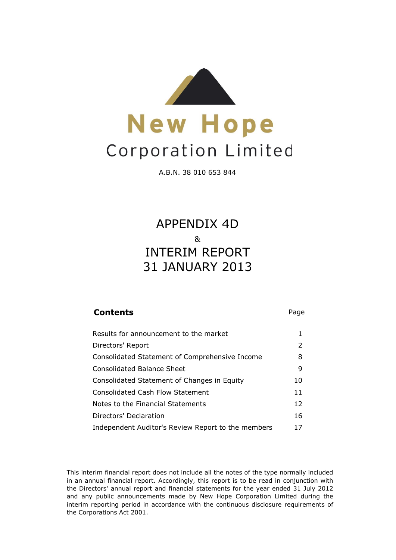

A.B.N. 38 010 653 844

# 31 JANUARY 2013 APPENDIX 4D & INTERIM REPORT

| <b>Contents</b>                                    | Page |
|----------------------------------------------------|------|
| Results for announcement to the market             | 1    |
| Directors' Report                                  | 2    |
| Consolidated Statement of Comprehensive Income     | 8    |
| Consolidated Balance Sheet                         | 9    |
| Consolidated Statement of Changes in Equity        | 10   |
| Consolidated Cash Flow Statement                   | 11   |
| Notes to the Financial Statements                  | 12   |
| Directors' Declaration                             | 16   |
| Independent Auditor's Review Report to the members | 17   |

This interim financial report does not include all the notes of the type normally included in an annual financial report. Accordingly, this report is to be read in conjunction with the Directors' annual report and financial statements for the year ended 31 July 2012 and any public announcements made by New Hope Corporation Limited during the interim reporting period in accordance with the continuous disclosure requirements of the Corporations Act 2001.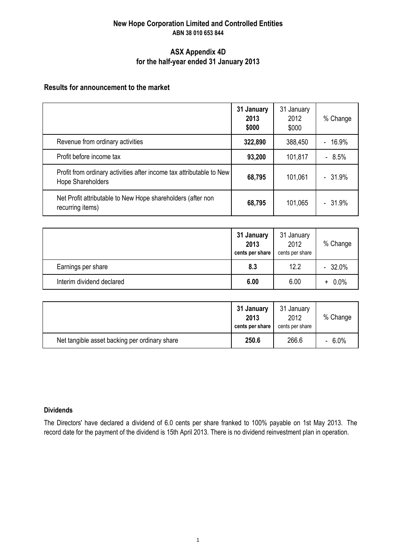### **New Hope Corporation Limited and Controlled Entities ABN 38 010 653 844**

### **ASX Appendix 4D for the half-year ended 31 January 2013**

### **Results for announcement to the market**

|                                                                                           | 31 January<br>2013<br>\$000 | 31 January<br>2012<br>\$000 | % Change   |
|-------------------------------------------------------------------------------------------|-----------------------------|-----------------------------|------------|
| Revenue from ordinary activities                                                          | 322,890                     | 388,450                     | $-16.9%$   |
| Profit before income tax                                                                  | 93,200                      | 101,817                     | 8.5%<br>÷. |
| Profit from ordinary activities after income tax attributable to New<br>Hope Shareholders | 68,795                      | 101,061                     | $-31.9%$   |
| Net Profit attributable to New Hope shareholders (after non<br>recurring items)           | 68,795                      | 101,065                     | $-31.9%$   |

|                           | 31 January<br>2013<br>cents per share | 31 January<br>2012<br>cents per share | % Change  |
|---------------------------|---------------------------------------|---------------------------------------|-----------|
| Earnings per share        | 8.3                                   | 12.2                                  | $-32.0%$  |
| Interim dividend declared | 6.00                                  | 6.00                                  | $+ 0.0\%$ |

|                                               | 31 January<br>2013<br>cents per share | 31 January<br>2012<br>cents per share | % Change |
|-----------------------------------------------|---------------------------------------|---------------------------------------|----------|
| Net tangible asset backing per ordinary share | 250.6                                 | 266.6                                 | $-6.0%$  |

### **Dividends**

The Directors' have declared a dividend of 6.0 cents per share franked to 100% payable on 1st May 2013. The record date for the payment of the dividend is 15th April 2013. There is no dividend reinvestment plan in operation.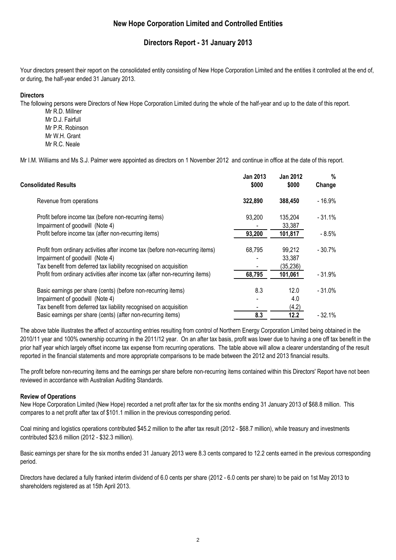### **Directors Report - 31 January 2013**

Your directors present their report on the consolidated entity consisting of New Hope Corporation Limited and the entities it controlled at the end of, or during, the half-year ended 31 January 2013.

### **Directors**

The following persons were Directors of New Hope Corporation Limited during the whole of the half-year and up to the date of this report.

Mr R.D. Millner Mr D.J. Fairfull Mr P.R. Robinson Mr W.H. Grant Mr R.C. Neale

Mr I.M. Williams and Ms S.J. Palmer were appointed as directors on 1 November 2012 and continue in office at the date of this report.

| <b>Consolidated Results</b>                                                   | <b>Jan 2013</b><br>\$000 | <b>Jan 2012</b><br>\$000 | $\%$<br>Change |
|-------------------------------------------------------------------------------|--------------------------|--------------------------|----------------|
| Revenue from operations                                                       | 322,890                  | 388,450                  | $-16.9%$       |
| Profit before income tax (before non-recurring items)                         | 93,200                   | 135,204                  | $-31.1%$       |
| Impairment of goodwill (Note 4)                                               |                          | 33,387                   |                |
| Profit before income tax (after non-recurring items)                          | 93,200                   | 101,817                  | $-8.5%$        |
| Profit from ordinary activities after income tax (before non-recurring items) | 68,795                   | 99,212                   | $-30.7%$       |
| Impairment of goodwill (Note 4)                                               |                          | 33,387                   |                |
| Tax benefit from deferred tax liability recognised on acquisition             |                          | (35, 236)                |                |
| Profit from ordinary activities after income tax (after non-recurring items)  | 68,795                   | 101,061                  | $-31.9%$       |
| Basic earnings per share (cents) (before non-recurring items)                 | 8.3                      | 12.0                     | $-31.0%$       |
| Impairment of goodwill (Note 4)                                               |                          | 4.0                      |                |
| Tax benefit from deferred tax liability recognised on acquisition             |                          | (4.2)                    |                |
| Basic earnings per share (cents) (after non-recurring items)                  | 8.3                      | 12.2                     | $-32.1%$       |
|                                                                               |                          |                          |                |

The above table illustrates the affect of accounting entries resulting from control of Northern Energy Corporation Limited being obtained in the 2010/11 year and 100% ownership occurring in the 2011/12 year. On an after tax basis, profit was lower due to having a one off tax benefit in the prior half year which largely offset income tax expense from recurring operations. The table above will allow a clearer understanding of the result reported in the financial statements and more appropriate comparisons to be made between the 2012 and 2013 financial results.

The profit before non-recurring items and the earnings per share before non-recurring items contained within this Directors' Report have not been reviewed in accordance with Australian Auditing Standards.

### **Review of Operations**

New Hope Corporation Limited (New Hope) recorded a net profit after tax for the six months ending 31 January 2013 of \$68.8 million. This compares to a net profit after tax of \$101.1 million in the previous corresponding period.

Coal mining and logistics operations contributed \$45.2 million to the after tax result (2012 - \$68.7 million), while treasury and investments contributed \$23.6 million (2012 - \$32.3 million).

Basic earnings per share for the six months ended 31 January 2013 were 8.3 cents compared to 12.2 cents earned in the previous corresponding period.

Directors have declared a fully franked interim dividend of 6.0 cents per share (2012 - 6.0 cents per share) to be paid on 1st May 2013 to shareholders registered as at 15th April 2013.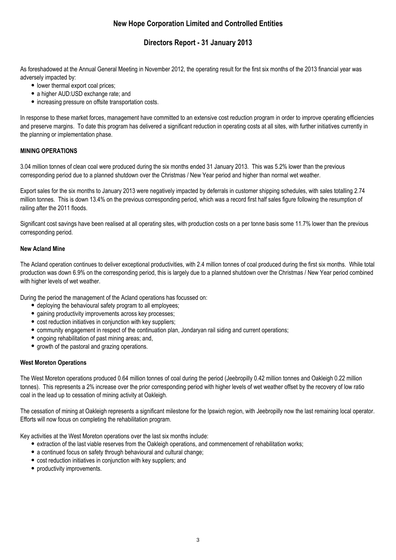### **Directors Report - 31 January 2013**

As foreshadowed at the Annual General Meeting in November 2012, the operating result for the first six months of the 2013 financial year was adversely impacted by:

- lower thermal export coal prices:
- a higher AUD:USD exchange rate; and
- increasing pressure on offsite transportation costs.

In response to these market forces, management have committed to an extensive cost reduction program in order to improve operating efficiencies and preserve margins. To date this program has delivered a significant reduction in operating costs at all sites, with further initiatives currently in the planning or implementation phase.

### **MINING OPERATIONS**

3.04 million tonnes of clean coal were produced during the six months ended 31 January 2013. This was 5.2% lower than the previous corresponding period due to a planned shutdown over the Christmas / New Year period and higher than normal wet weather.

Export sales for the six months to January 2013 were negatively impacted by deferrals in customer shipping schedules, with sales totalling 2.74 million tonnes. This is down 13.4% on the previous corresponding period, which was a record first half sales figure following the resumption of railing after the 2011 floods.

Significant cost savings have been realised at all operating sites, with production costs on a per tonne basis some 11.7% lower than the previous corresponding period.

### **New Acland Mine**

The Acland operation continues to deliver exceptional productivities, with 2.4 million tonnes of coal produced during the first six months. While total production was down 6.9% on the corresponding period, this is largely due to a planned shutdown over the Christmas / New Year period combined with higher levels of wet weather.

During the period the management of the Acland operations has focussed on:

- deploying the behavioural safety program to all employees;
- gaining productivity improvements across key processes;
- cost reduction initiatives in conjunction with key suppliers;
- community engagement in respect of the continuation plan, Jondaryan rail siding and current operations;
- ongoing rehabilitation of past mining areas; and,
- growth of the pastoral and grazing operations.

### **West Moreton Operations**

The West Moreton operations produced 0.64 million tonnes of coal during the period (Jeebropilly 0.42 million tonnes and Oakleigh 0.22 million tonnes). This represents a 2% increase over the prior corresponding period with higher levels of wet weather offset by the recovery of low ratio coal in the lead up to cessation of mining activity at Oakleigh.

The cessation of mining at Oakleigh represents a significant milestone for the Ipswich region, with Jeebropilly now the last remaining local operator. Efforts will now focus on completing the rehabilitation program.

Key activities at the West Moreton operations over the last six months include:

- extraction of the last viable reserves from the Oakleigh operations, and commencement of rehabilitation works;
- a continued focus on safety through behavioural and cultural change;
- cost reduction initiatives in conjunction with key suppliers; and
- productivity improvements.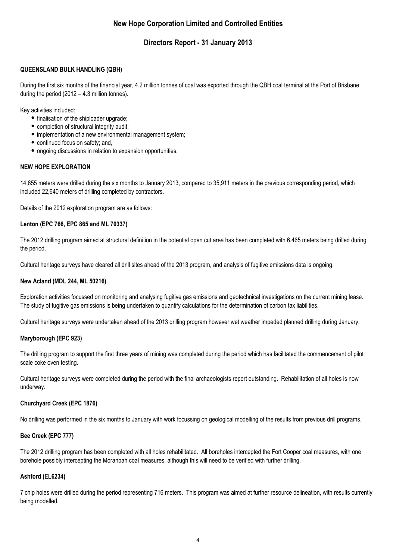### **Directors Report - 31 January 2013**

### **QUEENSLAND BULK HANDLING (QBH)**

During the first six months of the financial year, 4.2 million tonnes of coal was exported through the QBH coal terminal at the Port of Brisbane during the period (2012 – 4.3 million tonnes).

Key activities included:

- finalisation of the shiploader upgrade;
- completion of structural integrity audit;
- implementation of a new environmental management system;
- continued focus on safety; and,
- ongoing discussions in relation to expansion opportunities.

#### **NEW HOPE EXPLORATION**

14,855 meters were drilled during the six months to January 2013, compared to 35,911 meters in the previous corresponding period, which included 22,640 meters of drilling completed by contractors.

Details of the 2012 exploration program are as follows:

#### **Lenton (EPC 766, EPC 865 and ML 70337)**

The 2012 drilling program aimed at structural definition in the potential open cut area has been completed with 6,465 meters being drilled during the period.

Cultural heritage surveys have cleared all drill sites ahead of the 2013 program, and analysis of fugitive emissions data is ongoing.

#### **New Acland (MDL 244, ML 50216)**

Exploration activities focussed on monitoring and analysing fugitive gas emissions and geotechnical investigations on the current mining lease. The study of fugitive gas emissions is being undertaken to quantify calculations for the determination of carbon tax liabilities.

Cultural heritage surveys were undertaken ahead of the 2013 drilling program however wet weather impeded planned drilling during January.

#### **Maryborough (EPC 923)**

The drilling program to support the first three years of mining was completed during the period which has facilitated the commencement of pilot scale coke oven testing.

Cultural heritage surveys were completed during the period with the final archaeologists report outstanding. Rehabilitation of all holes is now underway.

### **Churchyard Creek (EPC 1876)**

No drilling was performed in the six months to January with work focussing on geological modelling of the results from previous drill programs.

### **Bee Creek (EPC 777)**

The 2012 drilling program has been completed with all holes rehabilitated. All boreholes intercepted the Fort Cooper coal measures, with one borehole possibly intercepting the Moranbah coal measures, although this will need to be verified with further drilling.

#### **Ashford (EL6234)**

7 chip holes were drilled during the period representing 716 meters. This program was aimed at further resource delineation, with results currently being modelled.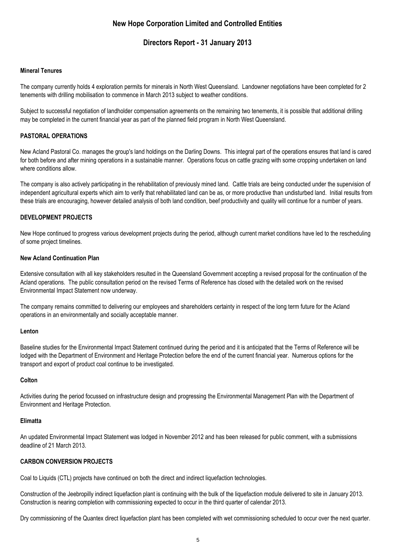### **Directors Report - 31 January 2013**

### **Mineral Tenures**

The company currently holds 4 exploration permits for minerals in North West Queensland. Landowner negotiations have been completed for 2 tenements with drilling mobilisation to commence in March 2013 subject to weather conditions.

Subject to successful negotiation of landholder compensation agreements on the remaining two tenements, it is possible that additional drilling may be completed in the current financial year as part of the planned field program in North West Queensland.

### **PASTORAL OPERATIONS**

New Acland Pastoral Co. manages the group's land holdings on the Darling Downs. This integral part of the operations ensures that land is cared for both before and after mining operations in a sustainable manner. Operations focus on cattle grazing with some cropping undertaken on land where conditions allow.

The company is also actively participating in the rehabilitation of previously mined land. Cattle trials are being conducted under the supervision of independent agricultural experts which aim to verify that rehabilitated land can be as, or more productive than undisturbed land. Initial results from these trials are encouraging, however detailed analysis of both land condition, beef productivity and quality will continue for a number of years.

#### **DEVELOPMENT PROJECTS**

New Hope continued to progress various development projects during the period, although current market conditions have led to the rescheduling of some project timelines.

#### **New Acland Continuation Plan**

Extensive consultation with all key stakeholders resulted in the Queensland Government accepting a revised proposal for the continuation of the Acland operations. The public consultation period on the revised Terms of Reference has closed with the detailed work on the revised Environmental Impact Statement now underway.

The company remains committed to delivering our employees and shareholders certainty in respect of the long term future for the Acland operations in an environmentally and socially acceptable manner.

#### **Lenton**

Baseline studies for the Environmental Impact Statement continued during the period and it is anticipated that the Terms of Reference will be lodged with the Department of Environment and Heritage Protection before the end of the current financial year. Numerous options for the transport and export of product coal continue to be investigated.

#### **Colton**

Activities during the period focussed on infrastructure design and progressing the Environmental Management Plan with the Department of Environment and Heritage Protection.

#### **Elimatta**

An updated Environmental Impact Statement was lodged in November 2012 and has been released for public comment, with a submissions deadline of 21 March 2013.

### **CARBON CONVERSION PROJECTS**

Coal to Liquids (CTL) projects have continued on both the direct and indirect liquefaction technologies.

Construction of the Jeebropilly indirect liquefaction plant is continuing with the bulk of the liquefaction module delivered to site in January 2013. Construction is nearing completion with commissioning expected to occur in the third quarter of calendar 2013.

Dry commissioning of the Quantex direct liquefaction plant has been completed with wet commissioning scheduled to occur over the next quarter.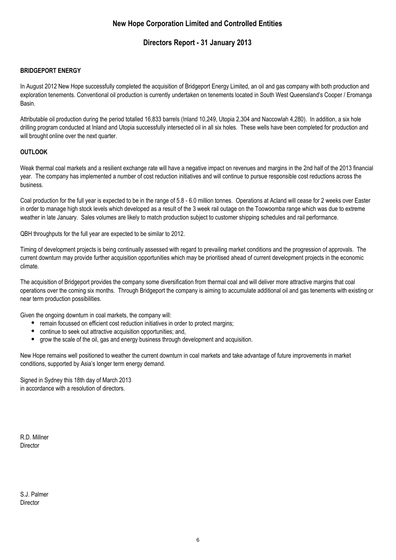### **Directors Report - 31 January 2013**

### **BRIDGEPORT ENERGY**

In August 2012 New Hope successfully completed the acquisition of Bridgeport Energy Limited, an oil and gas company with both production and exploration tenements. Conventional oil production is currently undertaken on tenements located in South West Queensland's Cooper / Eromanga Basin.

Attributable oil production during the period totalled 16,833 barrels (Inland 10,249, Utopia 2,304 and Naccowlah 4,280). In addition, a six hole drilling program conducted at Inland and Utopia successfully intersected oil in all six holes. These wells have been completed for production and will brought online over the next quarter.

### **OUTLOOK**

Weak thermal coal markets and a resilient exchange rate will have a negative impact on revenues and margins in the 2nd half of the 2013 financial year. The company has implemented a number of cost reduction initiatives and will continue to pursue responsible cost reductions across the business.

Coal production for the full year is expected to be in the range of 5.8 - 6.0 million tonnes. Operations at Acland will cease for 2 weeks over Easter in order to manage high stock levels which developed as a result of the 3 week rail outage on the Toowoomba range which was due to extreme weather in late January. Sales volumes are likely to match production subject to customer shipping schedules and rail performance.

QBH throughputs for the full year are expected to be similar to 2012.

Timing of development projects is being continually assessed with regard to prevailing market conditions and the progression of approvals. The current downturn may provide further acquisition opportunities which may be prioritised ahead of current development projects in the economic climate.

The acquisition of Bridgeport provides the company some diversification from thermal coal and will deliver more attractive margins that coal operations over the coming six months. Through Bridgeport the company is aiming to accumulate additional oil and gas tenements with existing or near term production possibilities.

Given the ongoing downturn in coal markets, the company will:

- remain focussed on efficient cost reduction initiatives in order to protect margins;
- continue to seek out attractive acquisition opportunities; and,
- grow the scale of the oil, gas and energy business through development and acquisition.

New Hope remains well positioned to weather the current downturn in coal markets and take advantage of future improvements in market conditions, supported by Asia's longer term energy demand.

Signed in Sydney this 18th day of March 2013 in accordance with a resolution of directors.

R.D. Millner **Director** 

S.J. Palmer **Director**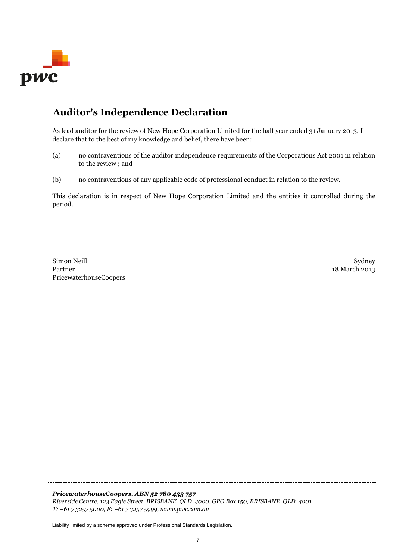

## **Auditor's Independence Declaration**

As lead auditor for the review of New Hope Corporation Limited for the half year ended 31 January 2013, I declare that to the best of my knowledge and belief, there have been:

- (a) no contraventions of the auditor independence requirements of the Corporations Act 2001 in relation to the review ; and
- (b) no contraventions of any applicable code of professional conduct in relation to the review.

This declaration is in respect of New Hope Corporation Limited and the entities it controlled during the period.

Simon Neill **Sydney (1986)** Sydney (1986) Sydney (1986) Sydney (1986) Sydney (1986) Sydney (1986) Sydney (1986) Partner 18 March 2013 PricewaterhouseCoopers

*PricewaterhouseCoopers, ABN 52 780 433 757 Riverside Centre, 123 Eagle Street, BRISBANE QLD 4000, GPO Box 150, BRISBANE QLD 4001 T: +61 7 3257 5000, F: +61 7 3257 5999, www.pwc.com.au*

Liability limited by a scheme approved under Professional Standards Legislation.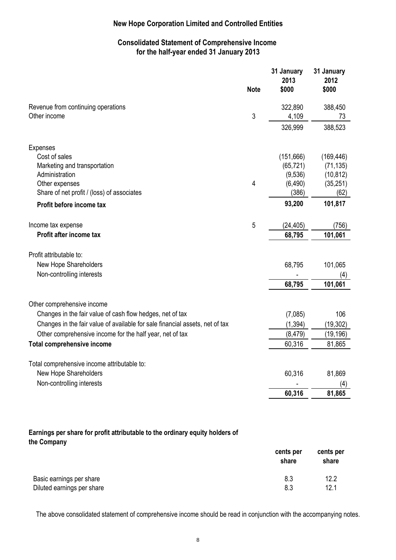### **Consolidated Statement of Comprehensive Income for the half-year ended 31 January 2013**

|                                                                              | <b>Note</b> | 31 January<br>2013<br>\$000 | 31 January<br>2012<br>\$000 |
|------------------------------------------------------------------------------|-------------|-----------------------------|-----------------------------|
| Revenue from continuing operations                                           |             | 322,890                     | 388,450                     |
| Other income                                                                 | 3           | 4,109                       | 73                          |
|                                                                              |             | 326,999                     | 388,523                     |
| <b>Expenses</b>                                                              |             |                             |                             |
| Cost of sales                                                                |             | (151,666)                   | (169, 446)                  |
| Marketing and transportation                                                 |             | (65, 721)                   | (71, 135)                   |
| Administration                                                               |             | (9,536)                     | (10, 812)                   |
| Other expenses                                                               | 4           | (6, 490)                    | (35, 251)                   |
| Share of net profit / (loss) of associates                                   |             | (386)                       | (62)                        |
| Profit before income tax                                                     |             | 93,200                      | 101,817                     |
| Income tax expense                                                           | 5           | (24, 405)                   | (756)                       |
| Profit after income tax                                                      |             | 68,795                      | 101,061                     |
| Profit attributable to:                                                      |             |                             |                             |
| New Hope Shareholders                                                        |             | 68,795                      | 101,065                     |
| Non-controlling interests                                                    |             |                             | (4)                         |
|                                                                              |             | 68,795                      | 101,061                     |
| Other comprehensive income                                                   |             |                             |                             |
| Changes in the fair value of cash flow hedges, net of tax                    |             | (7,085)                     | 106                         |
| Changes in the fair value of available for sale financial assets, net of tax |             | (1, 394)                    | (19, 302)                   |
| Other comprehensive income for the half year, net of tax                     |             | (8, 479)                    | (19, 196)                   |
| <b>Total comprehensive income</b>                                            |             | 60,316                      | 81,865                      |
|                                                                              |             |                             |                             |
| Total comprehensive income attributable to:                                  |             |                             |                             |
| New Hope Shareholders                                                        |             | 60,316                      | 81,869                      |
| Non-controlling interests                                                    |             |                             | (4)                         |
|                                                                              |             | 60,316                      | 81,865                      |

### **Earnings per share for profit attributable to the ordinary equity holders of the Company**

|                            | cents per<br>share | cents per<br>share |
|----------------------------|--------------------|--------------------|
| Basic earnings per share   | 8.3                | 12.2               |
| Diluted earnings per share | 8.3                | 12.1               |

The above consolidated statement of comprehensive income should be read in conjunction with the accompanying notes.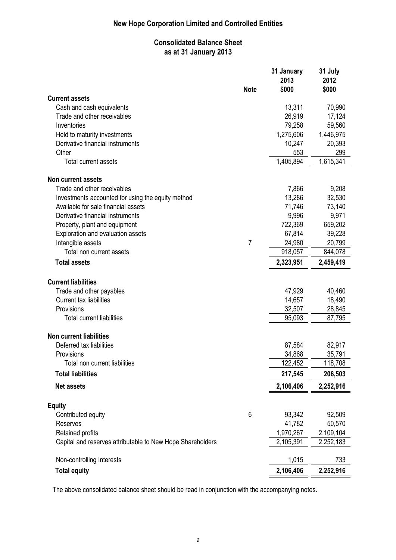### **Consolidated Balance Sheet as at 31 January 2013**

|                                                            |             | 31 January<br>2013 | 31 July<br>2012 |
|------------------------------------------------------------|-------------|--------------------|-----------------|
|                                                            | <b>Note</b> | \$000              | \$000           |
| <b>Current assets</b>                                      |             |                    |                 |
| Cash and cash equivalents                                  |             | 13,311             | 70,990          |
| Trade and other receivables                                |             | 26,919             | 17,124          |
| Inventories                                                |             | 79,258             | 59,560          |
| Held to maturity investments                               |             | 1,275,606          | 1,446,975       |
| Derivative financial instruments                           |             | 10,247             | 20,393          |
| Other                                                      |             | 553                | 299             |
| <b>Total current assets</b>                                |             | 1,405,894          | 1,615,341       |
| <b>Non current assets</b>                                  |             |                    |                 |
| Trade and other receivables                                |             | 7,866              | 9,208           |
| Investments accounted for using the equity method          |             | 13,286             | 32,530          |
| Available for sale financial assets                        |             | 71,746             | 73,140          |
| Derivative financial instruments                           |             | 9,996              | 9,971           |
| Property, plant and equipment                              |             | 722,369            | 659,202         |
| Exploration and evaluation assets                          |             | 67,814             | 39,228          |
| Intangible assets                                          | 7           | 24,980             | 20,799          |
| Total non current assets                                   |             | 918,057            | 844,078         |
| <b>Total assets</b>                                        |             | 2,323,951          | 2,459,419       |
| <b>Current liabilities</b>                                 |             |                    |                 |
| Trade and other payables                                   |             | 47,929             | 40,460          |
| Current tax liabilities                                    |             | 14,657             | 18,490          |
| Provisions                                                 |             | 32,507             | 28,845          |
| <b>Total current liabilities</b>                           |             | 95,093             | 87,795          |
| <b>Non current liabilities</b>                             |             |                    |                 |
| Deferred tax liabilities                                   |             | 87,584             | 82,917          |
| Provisions                                                 |             | 34,868             | 35,791          |
| Total non current liabilities                              |             | 122,452            | 118,708         |
| <b>Total liabilities</b>                                   |             | 217,545            | 206,503         |
| Net assets                                                 |             | 2,106,406          | 2,252,916       |
| <b>Equity</b>                                              |             |                    |                 |
| Contributed equity                                         | 6           | 93,342             | 92,509          |
| <b>Reserves</b>                                            |             | 41,782             | 50,570          |
| Retained profits                                           |             | 1,970,267          | 2,109,104       |
| Capital and reserves attributable to New Hope Shareholders |             | 2,105,391          | 2,252,183       |
| Non-controlling Interests                                  |             | 1,015              | 733             |
| <b>Total equity</b>                                        |             | 2,106,406          | 2,252,916       |

The above consolidated balance sheet should be read in conjunction with the accompanying notes.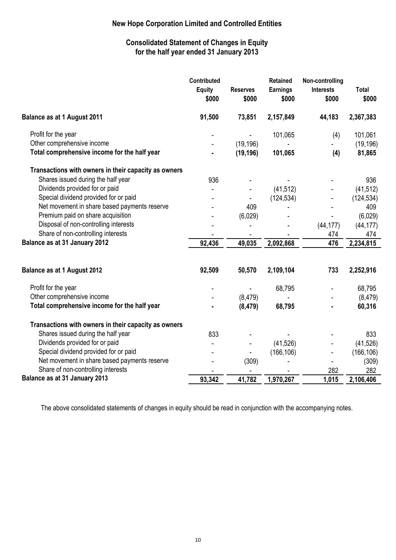### **Consolidated Statement of Changes in Equity for the half year ended 31 January 2013**

|                                                      | <b>Contributed</b><br><b>Equity</b><br>\$000 | <b>Reserves</b><br>\$000 | <b>Retained</b><br><b>Earnings</b><br>\$000 | Non-controlling<br><b>Interests</b><br>\$000 | <b>Total</b><br>\$000 |
|------------------------------------------------------|----------------------------------------------|--------------------------|---------------------------------------------|----------------------------------------------|-----------------------|
| <b>Balance as at 1 August 2011</b>                   | 91,500                                       | 73,851                   | 2,157,849                                   | 44,183                                       | 2,367,383             |
| Profit for the year                                  |                                              |                          | 101,065                                     | (4)                                          | 101,061               |
| Other comprehensive income                           |                                              | (19, 196)                |                                             |                                              | (19, 196)             |
| Total comprehensive income for the half year         |                                              | (19, 196)                | 101,065                                     | (4)                                          | 81,865                |
| Transactions with owners in their capacity as owners |                                              |                          |                                             |                                              |                       |
| Shares issued during the half year                   | 936                                          |                          |                                             |                                              | 936                   |
| Dividends provided for or paid                       |                                              |                          | (41, 512)                                   |                                              | (41, 512)             |
| Special dividend provided for or paid                |                                              |                          | (124, 534)                                  |                                              | (124, 534)            |
| Net movement in share based payments reserve         |                                              | 409                      |                                             |                                              | 409                   |
| Premium paid on share acquisition                    |                                              | (6,029)                  |                                             |                                              | (6,029)               |
| Disposal of non-controlling interests                |                                              |                          |                                             | (44, 177)                                    | (44, 177)             |
| Share of non-controlling interests                   |                                              |                          |                                             | 474                                          | 474                   |
| Balance as at 31 January 2012                        | 92,436                                       | 49,035                   | 2,092,868                                   | 476                                          | 2,234,815             |
| <b>Balance as at 1 August 2012</b>                   | 92,509                                       | 50,570                   | 2,109,104                                   | 733                                          | 2,252,916             |
| Profit for the year                                  |                                              |                          | 68,795                                      |                                              | 68,795                |
| Other comprehensive income                           |                                              | (8, 479)                 |                                             |                                              | (8, 479)              |
| Total comprehensive income for the half year         |                                              | (8, 479)                 | 68,795                                      |                                              | 60,316                |
| Transactions with owners in their capacity as owners |                                              |                          |                                             |                                              |                       |
| Shares issued during the half year                   | 833                                          |                          |                                             |                                              | 833                   |
| Dividends provided for or paid                       |                                              |                          | (41, 526)                                   |                                              | (41, 526)             |
| Special dividend provided for or paid                |                                              |                          | (166, 106)                                  |                                              | (166, 106)            |
| Net movement in share based payments reserve         |                                              | (309)                    |                                             |                                              | (309)                 |
| Share of non-controlling interests                   |                                              |                          |                                             | 282                                          | 282                   |
| Balance as at 31 January 2013                        | 93,342                                       | 41,782                   | 1,970,267                                   | 1,015                                        | 2,106,406             |

The above consolidated statements of changes in equity should be read in conjunction with the accompanying notes.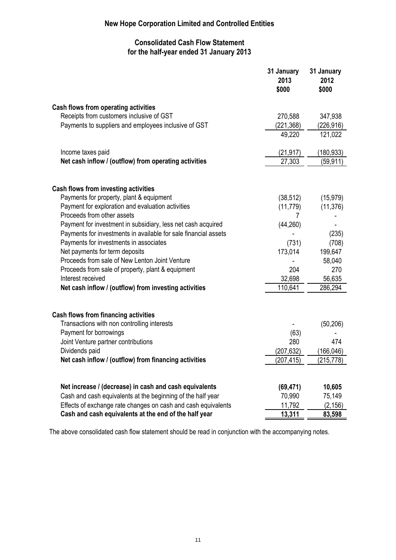### **Consolidated Cash Flow Statement for the half-year ended 31 January 2013**

|                                                                                                                       | 31 January<br>2013<br>\$000 | 31 January<br>2012<br>\$000 |
|-----------------------------------------------------------------------------------------------------------------------|-----------------------------|-----------------------------|
| Cash flows from operating activities                                                                                  |                             |                             |
| Receipts from customers inclusive of GST                                                                              | 270,588                     | 347,938                     |
| Payments to suppliers and employees inclusive of GST                                                                  | (221, 368)                  | (226, 916)                  |
|                                                                                                                       | 49,220                      | 121,022                     |
| Income taxes paid                                                                                                     | (21, 917)                   | (180, 933)                  |
| Net cash inflow / (outflow) from operating activities                                                                 | 27,303                      | (59, 911)                   |
| Cash flows from investing activities                                                                                  |                             |                             |
| Payments for property, plant & equipment                                                                              | (38, 512)                   | (15, 979)                   |
| Payment for exploration and evaluation activities                                                                     | (11, 779)                   | (11, 376)                   |
| Proceeds from other assets                                                                                            |                             |                             |
| Payment for investment in subsidiary, less net cash acquired                                                          | (44, 260)                   |                             |
| Payments for investments in available for sale financial assets                                                       |                             | (235)                       |
| Payments for investments in associates                                                                                | (731)                       | (708)                       |
| Net payments for term deposits                                                                                        | 173,014                     | 199,647                     |
| Proceeds from sale of New Lenton Joint Venture                                                                        |                             | 58,040                      |
| Proceeds from sale of property, plant & equipment                                                                     | 204                         | 270                         |
| Interest received                                                                                                     | 32,698                      | 56,635                      |
| Net cash inflow / (outflow) from investing activities                                                                 | 110,641                     | 286,294                     |
| <b>Cash flows from financing activities</b>                                                                           |                             |                             |
| Transactions with non controlling interests                                                                           |                             | (50, 206)                   |
| Payment for borrowings                                                                                                | (63)                        |                             |
| Joint Venture partner contributions                                                                                   | 280                         | 474                         |
| Dividends paid                                                                                                        | (207, 632)                  | (166, 046)                  |
| Net cash inflow / (outflow) from financing activities                                                                 | (207,415)                   | (215,778)                   |
|                                                                                                                       |                             |                             |
| Net increase / (decrease) in cash and cash equivalents<br>Cash and cash equivalents at the beginning of the half year | (69, 471)                   | 10,605<br>75,149            |
| Effects of exchange rate changes on cash and cash equivalents                                                         | 70,990<br>11,792            | (2, 156)                    |
| Cash and cash equivalents at the end of the half year                                                                 | 13,311                      | 83,598                      |
|                                                                                                                       |                             |                             |

The above consolidated cash flow statement should be read in conjunction with the accompanying notes.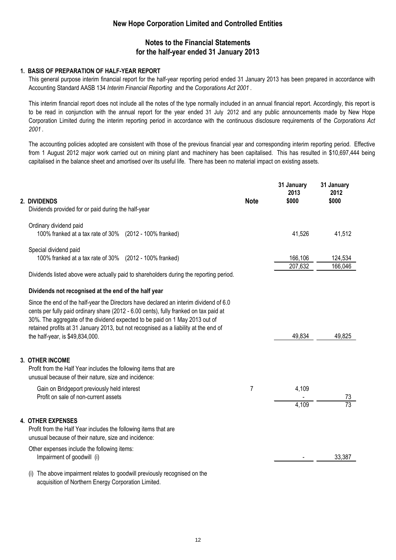### **Notes to the Financial Statements for the half-year ended 31 January 2013**

### **1. BASIS OF PREPARATION OF HALF-YEAR REPORT**

This general purpose interim financial report for the half-year reporting period ended 31 January 2013 has been prepared in accordance with Accounting Standard AASB 134 *Interim Financial Reporting* and the *Corporations Act 2001* .

This interim financial report does not include all the notes of the type normally included in an annual financial report. Accordingly, this report is to be read in conjunction with the annual report for the year ended 31 July 2012 and any public announcements made by New Hope Corporation Limited during the interim reporting period in accordance with the continuous disclosure requirements of the *Corporations Act 2001* .

The accounting policies adopted are consistent with those of the previous financial year and corresponding interim reporting period. Effective from 1 August 2012 major work carried out on mining plant and machinery has been capitalised. This has resulted in \$10,697,444 being capitalised in the balance sheet and amortised over its useful life. There has been no material impact on existing assets.

| 2. DIVIDENDS<br>Dividends provided for or paid during the half-year                                                                                                                                                                                                                                                                                                                      | <b>Note</b>    | 31 January<br>2013<br>\$000 | 31 January<br>2012<br>\$000 |
|------------------------------------------------------------------------------------------------------------------------------------------------------------------------------------------------------------------------------------------------------------------------------------------------------------------------------------------------------------------------------------------|----------------|-----------------------------|-----------------------------|
|                                                                                                                                                                                                                                                                                                                                                                                          |                |                             |                             |
| Ordinary dividend paid<br>100% franked at a tax rate of 30% (2012 - 100% franked)                                                                                                                                                                                                                                                                                                        |                | 41,526                      | 41,512                      |
| Special dividend paid                                                                                                                                                                                                                                                                                                                                                                    |                |                             |                             |
| 100% franked at a tax rate of 30% (2012 - 100% franked)                                                                                                                                                                                                                                                                                                                                  |                | 166,106                     | 124,534                     |
|                                                                                                                                                                                                                                                                                                                                                                                          |                | 207,632                     | 166,046                     |
| Dividends listed above were actually paid to shareholders during the reporting period.                                                                                                                                                                                                                                                                                                   |                |                             |                             |
| Dividends not recognised at the end of the half year                                                                                                                                                                                                                                                                                                                                     |                |                             |                             |
| Since the end of the half-year the Directors have declared an interim dividend of 6.0<br>cents per fully paid ordinary share (2012 - 6.00 cents), fully franked on tax paid at<br>30%. The aggregate of the dividend expected to be paid on 1 May 2013 out of<br>retained profits at 31 January 2013, but not recognised as a liability at the end of<br>the half-year, is \$49,834,000. |                | 49,834                      | 49,825                      |
| <b>3. OTHER INCOME</b><br>Profit from the Half Year includes the following items that are<br>unusual because of their nature, size and incidence:                                                                                                                                                                                                                                        |                |                             |                             |
| Gain on Bridgeport previously held interest                                                                                                                                                                                                                                                                                                                                              | $\overline{7}$ | 4,109                       |                             |
| Profit on sale of non-current assets                                                                                                                                                                                                                                                                                                                                                     |                |                             | <u>73</u>                   |
|                                                                                                                                                                                                                                                                                                                                                                                          |                | 4,109                       | $\overline{73}$             |
| <b>4. OTHER EXPENSES</b><br>Profit from the Half Year includes the following items that are<br>unusual because of their nature, size and incidence:                                                                                                                                                                                                                                      |                |                             |                             |
| Other expenses include the following items:                                                                                                                                                                                                                                                                                                                                              |                |                             |                             |
| Impairment of goodwill (i)                                                                                                                                                                                                                                                                                                                                                               |                |                             | 33,387                      |
| The above impairment relates to goodwill previously recognised on the<br>acquisition of Northern Energy Corporation Limited.                                                                                                                                                                                                                                                             |                |                             |                             |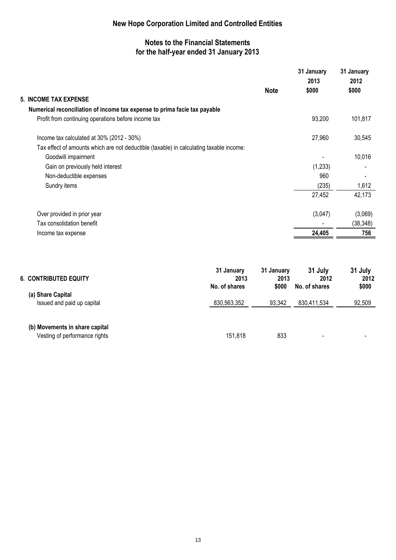### **Notes to the Financial Statements for the half-year ended 31 January 2013**

| <b>Note</b>                                                                             | 31 January<br>2013<br>\$000 | 31 January<br>2012<br>\$000 |
|-----------------------------------------------------------------------------------------|-----------------------------|-----------------------------|
| <b>5. INCOME TAX EXPENSE</b>                                                            |                             |                             |
| Numerical reconciliation of income tax expense to prima facie tax payable               |                             |                             |
| Profit from continuing operations before income tax                                     | 93,200                      | 101,817                     |
| Income tax calculated at 30% (2012 - 30%)                                               | 27,960                      | 30,545                      |
| Tax effect of amounts which are not deductible (taxable) in calculating taxable income: |                             |                             |
| Goodwill impairment                                                                     |                             | 10,016                      |
| Gain on previously held interest                                                        | (1,233)                     |                             |
| Non-deductible expenses                                                                 | 960                         |                             |
| Sundry items                                                                            | (235)                       | 1,612                       |
|                                                                                         | 27,452                      | 42,173                      |
| Over provided in prior year                                                             | (3,047)                     | (3,069)                     |
| Tax consolidation benefit                                                               |                             | (38, 348)                   |
| Income tax expense                                                                      | 24,405                      | 756                         |

| <b>6. CONTRIBUTED EQUITY</b>                                    | 31 January<br>2013<br>No. of shares | 31 January<br>2013<br>\$000 | 31 July<br>2012<br>No. of shares | 31 July<br>2012<br>\$000 |
|-----------------------------------------------------------------|-------------------------------------|-----------------------------|----------------------------------|--------------------------|
| (a) Share Capital<br>Issued and paid up capital                 | 830,563,352                         | 93,342                      | 830,411,534                      | 92,509                   |
| (b) Movements in share capital<br>Vesting of performance rights | 151,818                             | 833                         | $\,$                             |                          |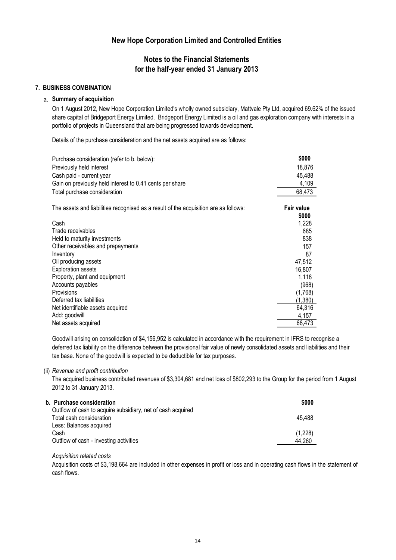### **Notes to the Financial Statements for the half-year ended 31 January 2013**

#### **7. BUSINESS COMBINATION**

#### a. **Summary of acquisition**

On 1 August 2012, New Hope Corporation Limited's wholly owned subsidiary, Mattvale Pty Ltd, acquired 69.62% of the issued share capital of Bridgeport Energy Limited. Bridgeport Energy Limited is a oil and gas exploration company with interests in a portfolio of projects in Queensland that are being progressed towards development.

Details of the purchase consideration and the net assets acquired are as follows:

| Purchase consideration (refer to b. below):<br>Previously held interest<br>Cash paid - current year<br>Gain on previously held interest to 0.41 cents per share<br>Total purchase consideration | \$000<br>18,876<br>45,488<br>4,109<br>68,473 |
|-------------------------------------------------------------------------------------------------------------------------------------------------------------------------------------------------|----------------------------------------------|
| The assets and liabilities recognised as a result of the acquisition are as follows:                                                                                                            | <b>Fair value</b>                            |
|                                                                                                                                                                                                 | \$000                                        |
| Cash                                                                                                                                                                                            | 1,228                                        |
| Trade receivables                                                                                                                                                                               | 685                                          |
| Held to maturity investments                                                                                                                                                                    | 838                                          |
| Other receivables and prepayments                                                                                                                                                               | 157                                          |
| Inventory                                                                                                                                                                                       | 87                                           |
| Oil producing assets                                                                                                                                                                            | 47,512                                       |
| <b>Exploration assets</b>                                                                                                                                                                       | 16,807                                       |
| Property, plant and equipment                                                                                                                                                                   | 1,118                                        |
| Accounts payables                                                                                                                                                                               | (968)                                        |
| Provisions                                                                                                                                                                                      | (1,768)                                      |
| Deferred tax liabilities                                                                                                                                                                        | (1,380)                                      |
| Net identifiable assets acquired                                                                                                                                                                | 64,316                                       |
| Add: goodwill                                                                                                                                                                                   | 4,157                                        |
| Net assets acquired                                                                                                                                                                             | 68,473                                       |

Goodwill arising on consolidation of \$4,156,952 is calculated in accordance with the requirement in IFRS to recognise a deferred tax liability on the difference between the provisional fair value of newly consolidated assets and liabilities and their tax base. None of the goodwill is expected to be deductible for tax purposes.

#### (ii) *Revenue and profit contribution*

The acquired business contributed revenues of \$3,304,681 and net loss of \$802,293 to the Group for the period from 1 August 2012 to 31 January 2013.

| b. Purchase consideration                                                               | \$000   |
|-----------------------------------------------------------------------------------------|---------|
| Outflow of cash to acquire subsidiary, net of cash acquired<br>Total cash consideration | 45.488  |
| Less: Balances acquired<br>Cash                                                         | (1,228) |
| Outflow of cash - investing activities                                                  | 44.260  |

### *Acquisition related costs*

Acquisition costs of \$3,198,664 are included in other expenses in profit or loss and in operating cash flows in the statement of cash flows.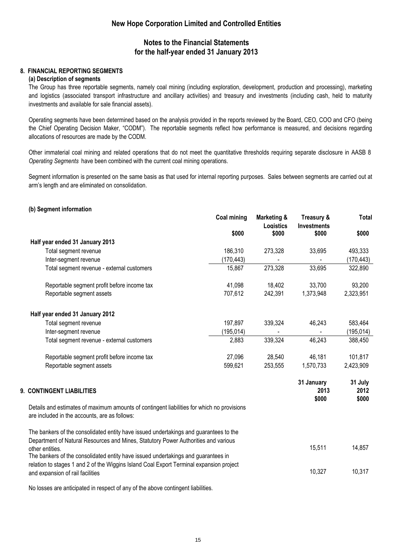### **Notes to the Financial Statements for the half-year ended 31 January 2013**

### **8. FINANCIAL REPORTING SEGMENTS**

#### **(a) Description of segments**

The Group has three reportable segments, namely coal mining (including exploration, development, production and processing), marketing and logistics (associated transport infrastructure and ancillary activities) and treasury and investments (including cash, held to maturity investments and available for sale financial assets).

Operating segments have been determined based on the analysis provided in the reports reviewed by the Board, CEO, COO and CFO (being the Chief Operating Decision Maker, "CODM"). The reportable segments reflect how performance is measured, and decisions regarding allocations of resources are made by the CODM.

Other immaterial coal mining and related operations that do not meet the quantitative thresholds requiring separate disclosure in AASB 8 *Operating Segments* have been combined with the current coal mining operations.

Segment information is presented on the same basis as that used for internal reporting purposes. Sales between segments are carried out at arm's length and are eliminated on consolidation.

#### **(b) Segment information**

|                                                                                                                                                                                                 | Coal mining | Marketing &<br>Logistics | Treasury &<br><b>Investments</b> | <b>Total</b>             |
|-------------------------------------------------------------------------------------------------------------------------------------------------------------------------------------------------|-------------|--------------------------|----------------------------------|--------------------------|
|                                                                                                                                                                                                 | \$000       | \$000                    | \$000                            | \$000                    |
| Half year ended 31 January 2013                                                                                                                                                                 |             |                          |                                  |                          |
| Total segment revenue                                                                                                                                                                           | 186,310     | 273,328                  | 33,695                           | 493,333                  |
| Inter-segment revenue                                                                                                                                                                           | (170, 443)  |                          |                                  | (170, 443)               |
| Total segment revenue - external customers                                                                                                                                                      | 15,867      | 273,328                  | 33,695                           | 322,890                  |
| Reportable segment profit before income tax                                                                                                                                                     | 41,098      | 18,402                   | 33,700                           | 93,200                   |
| Reportable segment assets                                                                                                                                                                       | 707,612     | 242,391                  | 1,373,948                        | 2,323,951                |
| Half year ended 31 January 2012                                                                                                                                                                 |             |                          |                                  |                          |
| Total segment revenue                                                                                                                                                                           | 197,897     | 339,324                  | 46,243                           | 583,464                  |
| Inter-segment revenue                                                                                                                                                                           | (195,014)   |                          |                                  | (195, 014)               |
| Total segment revenue - external customers                                                                                                                                                      | 2,883       | 339,324                  | 46,243                           | 388,450                  |
| Reportable segment profit before income tax                                                                                                                                                     | 27,096      | 28,540                   | 46,181                           | 101,817                  |
| Reportable segment assets                                                                                                                                                                       | 599,621     | 253,555                  | 1,570,733                        | 2,423,909                |
| 9. CONTINGENT LIABILITIES                                                                                                                                                                       |             |                          | 31 January<br>2013<br>\$000      | 31 July<br>2012<br>\$000 |
| Details and estimates of maximum amounts of contingent liabilities for which no provisions<br>are included in the accounts, are as follows:                                                     |             |                          |                                  |                          |
| The bankers of the consolidated entity have issued undertakings and guarantees to the<br>Department of Natural Resources and Mines, Statutory Power Authorities and various                     |             |                          |                                  |                          |
| other entities.<br>The bankers of the consolidated entity have issued undertakings and guarantees in<br>relation to stages 1 and 2 of the Wiggins Island Coal Export Terminal expansion project |             |                          | 15,511                           | 14,857                   |
| and expansion of rail facilities                                                                                                                                                                |             |                          | 10,327                           | 10,317                   |

No losses are anticipated in respect of any of the above contingent liabilities.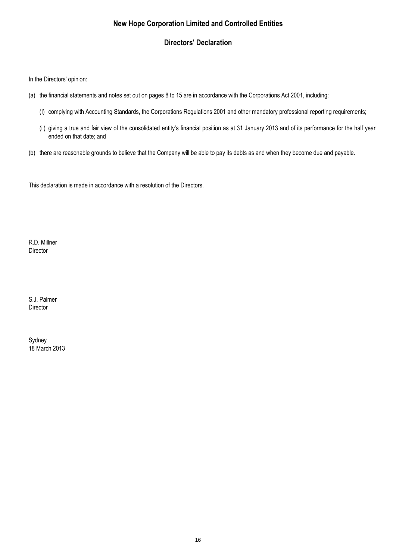### **Directors' Declaration**

In the Directors' opinion:

- (a) the financial statements and notes set out on pages 8 to 15 are in accordance with the Corporations Act 2001, including:
	- (I) complying with Accounting Standards, the Corporations Regulations 2001 and other mandatory professional reporting requirements;
	- (ii) giving a true and fair view of the consolidated entity's financial position as at 31 January 2013 and of its performance for the half year ended on that date; and
- (b) there are reasonable grounds to believe that the Company will be able to pay its debts as and when they become due and payable.

This declaration is made in accordance with a resolution of the Directors.

R.D. Millner Director

S.J. Palmer **Director** 

18 March 2013 Sydney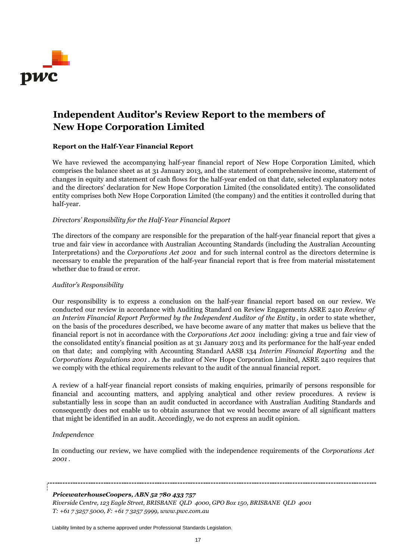

## **Independent Auditor's Review Report to the members of New Hope Corporation Limited**

### **Report on the Half-Year Financial Report**

We have reviewed the accompanying half-year financial report of New Hope Corporation Limited, which comprises the balance sheet as at 31 January 2013, and the statement of comprehensive income, statement of changes in equity and statement of cash flows for the half-year ended on that date, selected explanatory notes and the directors' declaration for New Hope Corporation Limited (the consolidated entity). The consolidated entity comprises both New Hope Corporation Limited (the company) and the entities it controlled during that half-year.

### *Directors' Responsibility for the Half-Year Financial Report*

The directors of the company are responsible for the preparation of the half-year financial report that gives a true and fair view in accordance with Australian Accounting Standards (including the Australian Accounting Interpretations) and the *Corporations Act 2001* and for such internal control as the directors determine is necessary to enable the preparation of the half-year financial report that is free from material misstatement whether due to fraud or error.

#### *Auditor's Responsibility*

Our responsibility is to express a conclusion on the half-year financial report based on our review. We conducted our review in accordance with Auditing Standard on Review Engagements ASRE 2410 *Review of an Interim Financial Report Performed by the Independent Auditor of the Entity* , in order to state whether, on the basis of the procedures described, we have become aware of any matter that makes us believe that the financial report is not in accordance with the *Corporations Act 2001* including: giving a true and fair view of the consolidated entity's financial position as at 31 January 2013 and its performance for the half-year ended on that date; and complying with Accounting Standard AASB 134 *Interim Financial Reporting* and the *Corporations Regulations 2001* . As the auditor of New Hope Corporation Limited, ASRE 2410 requires that we comply with the ethical requirements relevant to the audit of the annual financial report.

A review of a half-year financial report consists of making enquiries, primarily of persons responsible for financial and accounting matters, and applying analytical and other review procedures. A review is substantially less in scope than an audit conducted in accordance with Australian Auditing Standards and consequently does not enable us to obtain assurance that we would become aware of all significant matters that might be identified in an audit. Accordingly, we do not express an audit opinion.

### *Independence*

In conducting our review, we have complied with the independence requirements of the *Corporations Act 2001* .

#### *PricewaterhouseCoopers, ABN 52 780 433 757*

*Riverside Centre, 123 Eagle Street, BRISBANE QLD 4000, GPO Box 150, BRISBANE QLD 4001 T: +61 7 3257 5000, F: +61 7 3257 5999, www.pwc.com.au*

Liability limited by a scheme approved under Professional Standards Legislation.